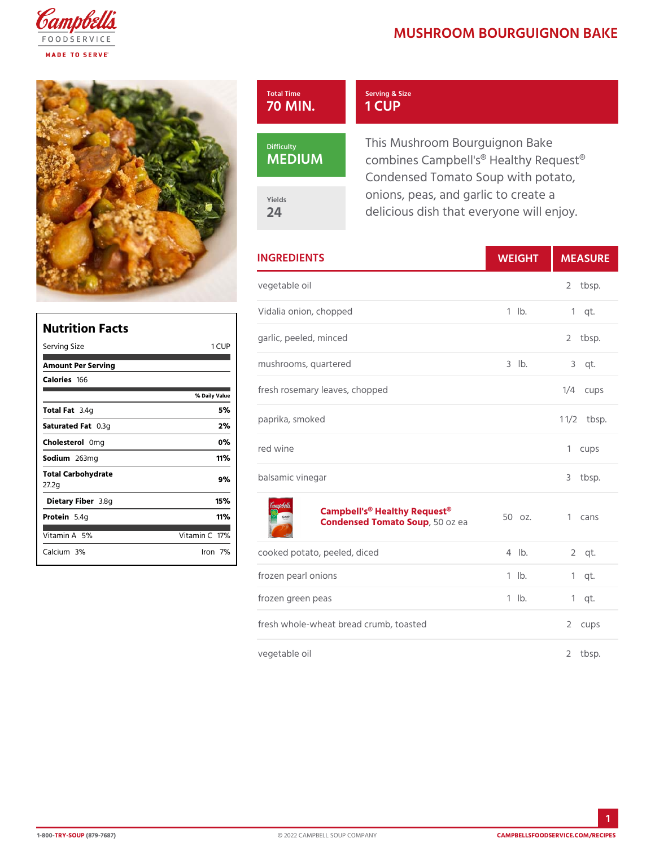## MUSHROOM BOURGUIGNO

| Total Time           | Serving & Size                                                                                            |
|----------------------|-----------------------------------------------------------------------------------------------------------|
| 70 MIN.              | 1 CUP                                                                                                     |
| Difficulty<br>MEDIUM | This Mushroom Bourguignon Ba<br>combines Campbell's <sup>®</sup> Healthy<br>Condensed Tomato Soup with po |
| Yields               | onions, peas, and garlic to crea                                                                          |
| 24                   | delicious dish that everyone wil                                                                          |

| <b>INGREDIENTS</b>                                                                   | WEIGH       | MEASU                |
|--------------------------------------------------------------------------------------|-------------|----------------------|
| vegetable oil                                                                        |             | 2 tbsp.              |
| Vidalia onion, chopped                                                               | $1$ $1b$ .  | $1$ qt.              |
| garlic, peeled, minced                                                               |             | 2 tbsp.              |
| mushrooms, quartered                                                                 | $3$ $ b $ . | $3$ qt.              |
| fresh rosemary leaves, chopped                                                       |             | $1/4$ cups           |
| paprika, smoked                                                                      |             | $1 \frac{1}{2}$ bsp. |
| red wine                                                                             |             | 1 cups               |
| balsamic vinegar                                                                     |             | 3<br>tbsp.           |
| Campbell's <sup>®</sup> Healthy Request <sup>®</sup> z.<br>Condensed Tomat 50Sozupea |             | 1 cans               |
| cooked potato, peeled, diced                                                         | $4$ $ b$ .  | $2$ qt.              |
| frozen pearl onions                                                                  | $1$ $1b$ .  | $1$ qt.              |
| frozen green peas                                                                    | $1$ $1b$ .  | $1$ qt.              |
| fresh whole-wheat bread crumb, toasted                                               | 2 cups      |                      |
| vegetable oil                                                                        |             | 2<br>$tb$ sp.        |

| Nutrition Facts             |                |  |  |  |
|-----------------------------|----------------|--|--|--|
| Serving Size                | 1 CUP          |  |  |  |
| Amount Per Serving          |                |  |  |  |
| Calorie1s66                 |                |  |  |  |
|                             | % Daily Vallue |  |  |  |
| Total F3at4g                | 5%             |  |  |  |
| Saturated 0F.38tg           | 2%             |  |  |  |
| Choleste <b>0 oni</b> g     | $0\%$          |  |  |  |
| Sodium263mg                 | 11%            |  |  |  |
| Total Carbohydrate<br>27.2g | 9%             |  |  |  |
| Dietary F3ib&egr            | 15%            |  |  |  |
| Protei <b>5</b> .4g         | 11% አ          |  |  |  |
| Vitamin5A%                  | Vitamin 1 0 %  |  |  |  |
| Calcium <sup>30%</sup>      | lron 7%        |  |  |  |

1